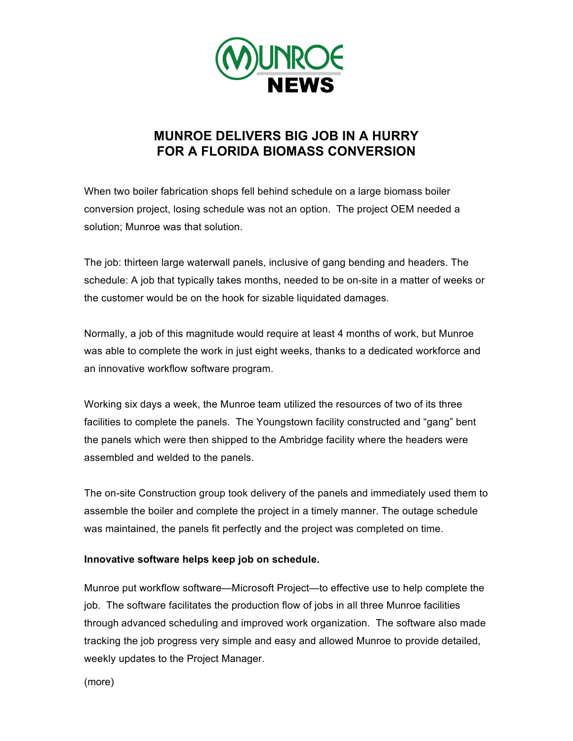

## **MUNROE DELIVERS BIG JOB IN A HURRY FOR A FLORIDA BIOMASS CONVERSION**

When two boiler fabrication shops fell behind schedule on a large biomass boiler conversion project, losing schedule was not an option. The project OEM needed a solution; Munroe was that solution.

The job: thirteen large waterwall panels, inclusive of gang bending and headers. The schedule: A job that typically takes months, needed to be on-site in a matter of weeks or the customer would be on the hook for sizable liquidated damages.

Normally, a job of this magnitude would require at least 4 months of work, but Munroe was able to complete the work in just eight weeks, thanks to a dedicated workforce and an innovative workflow software program.

Working six days a week, the Munroe team utilized the resources of two of its three facilities to complete the panels. The Youngstown facility constructed and "gang" bent the panels which were then shipped to the Ambridge facility where the headers were assembled and welded to the panels.

The on-site Construction group took delivery of the panels and immediately used them to assemble the boiler and complete the project in a timely manner. The outage schedule was maintained, the panels fit perfectly and the project was completed on time.

## **Innovative software helps keep job on schedule.**

Munroe put workflow software—Microsoft Project—to effective use to help complete the job. The software facilitates the production flow of jobs in all three Munroe facilities through advanced scheduling and improved work organization. The software also made tracking the job progress very simple and easy and allowed Munroe to provide detailed, weekly updates to the Project Manager.

(more)